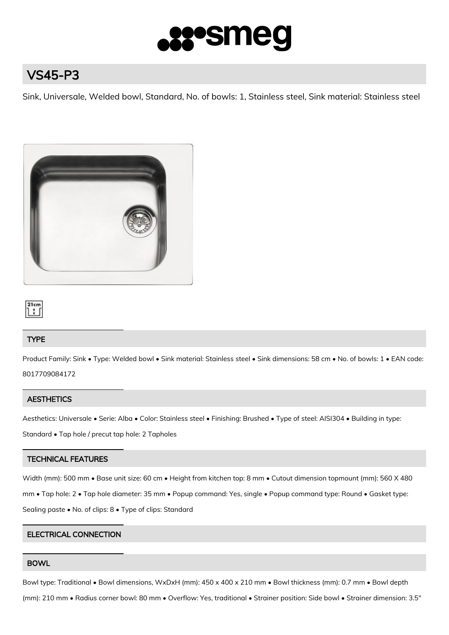

# VS45-P3

Sink, Universale, Welded bowl, Standard, No. of bowls: 1, Stainless steel, Sink material: Stainless steel



#### $21cm$ 1 : [

# TYPE

Product Family: Sink • Type: Welded bowl • Sink material: Stainless steel • Sink dimensions: 58 cm • No. of bowls: 1 • EAN code: 8017709084172

## **AESTHETICS**

Aesthetics: Universale • Serie: Alba • Color: Stainless steel • Finishing: Brushed • Type of steel: AISI304 • Building in type:

Standard • Tap hole / precut tap hole: 2 Tapholes

# TECHNICAL FEATURES

Width (mm): 500 mm • Base unit size: 60 cm • Height from kitchen top: 8 mm • Cutout dimension topmount (mm): 560 X 480 mm • Tap hole: 2 • Tap hole diameter: 35 mm • Popup command: Yes, single • Popup command type: Round • Gasket type: Sealing paste • No. of clips: 8 • Type of clips: Standard

## ELECTRICAL CONNECTION

## BOWL

Bowl type: Traditional • Bowl dimensions, WxDxH (mm): 450 x 400 x 210 mm • Bowl thickness (mm): 0.7 mm • Bowl depth

(mm): 210 mm • Radius corner bowl: 80 mm • Overflow: Yes, traditional • Strainer position: Side bowl • Strainer dimension: 3.5"